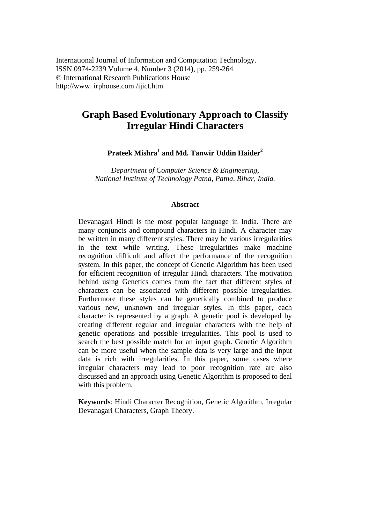# **Graph Based Evolutionary Approach to Classify Irregular Hindi Characters**

**Prateek Mishra1 and Md. Tanwir Uddin Haider2** 

*Department of Computer Science & Engineering, National Institute of Technology Patna, Patna, Bihar, India.* 

#### **Abstract**

Devanagari Hindi is the most popular language in India. There are many conjuncts and compound characters in Hindi. A character may be written in many different styles. There may be various irregularities in the text while writing. These irregularities make machine recognition difficult and affect the performance of the recognition system. In this paper, the concept of Genetic Algorithm has been used for efficient recognition of irregular Hindi characters. The motivation behind using Genetics comes from the fact that different styles of characters can be associated with different possible irregularities. Furthermore these styles can be genetically combined to produce various new, unknown and irregular styles. In this paper, each character is represented by a graph. A genetic pool is developed by creating different regular and irregular characters with the help of genetic operations and possible irregularities. This pool is used to search the best possible match for an input graph. Genetic Algorithm can be more useful when the sample data is very large and the input data is rich with irregularities. In this paper, some cases where irregular characters may lead to poor recognition rate are also discussed and an approach using Genetic Algorithm is proposed to deal with this problem.

**Keywords**: Hindi Character Recognition, Genetic Algorithm, Irregular Devanagari Characters, Graph Theory.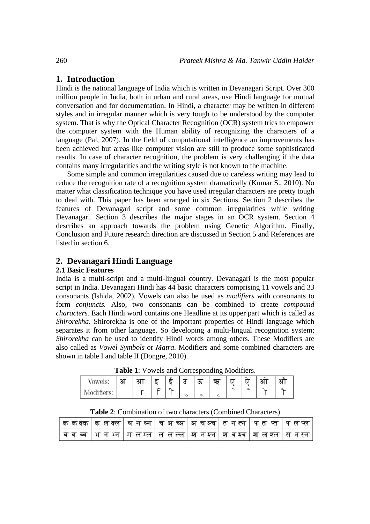# **1. Introduction**

Hindi is the national language of India which is written in Devanagari Script. Over 300 million people in India, both in urban and rural areas, use Hindi language for mutual conversation and for documentation. In Hindi, a character may be written in different styles and in irregular manner which is very tough to be understood by the computer system. That is why the Optical Character Recognition (OCR) system tries to empower the computer system with the Human ability of recognizing the characters of a language (Pal, 2007). In the field of computational intelligence an improvements has been achieved but areas like computer vision are still to produce some sophisticated results. In case of character recognition, the problem is very challenging if the data contains many irregularities and the writing style is not known to the machine.

Some simple and common irregularities caused due to careless writing may lead to reduce the recognition rate of a recognition system dramatically (Kumar S., 2010). No matter what classification technique you have used irregular characters are pretty tough to deal with. This paper has been arranged in six Sections. Section 2 describes the features of Devanagari script and some common irregularities while writing Devanagari. Section 3 describes the major stages in an OCR system. Section 4 describes an approach towards the problem using Genetic Algorithm. Finally, Conclusion and Future research direction are discussed in Section 5 and References are listed in section 6.

# **2. Devanagari Hindi Language**

## **2.1 Basic Features**

India is a multi-script and a multi-lingual country. Devanagari is the most popular script in India. Devanagari Hindi has 44 basic characters comprising 11 vowels and 33 consonants (Ishida, 2002). Vowels can also be used as *modifiers* with consonants to form *conjuncts.* Also, two consonants can be combined to create *compound characters.* Each Hindi word contains one Headline at its upper part which is called as *Shirorekha*. Shirorekha is one of the important properties of Hindi language which separates it from other language. So developing a multi-lingual recognition system; *Shirorekha* can be used to identify Hindi words among others. These Modifiers are also called as *Vowel Symbols* or *Matra*. Modifiers and some combined characters are shown in table I and table II (Dongre, 2010).

| owels:            | ্যা | ਾ |  |   | ີ | -----o<br>ન્દ |  | ∽ |  |
|-------------------|-----|---|--|---|---|---------------|--|---|--|
| VIO)<br><b>ID</b> |     |   |  | ు |   |               |  |   |  |

**Table 1**: Vowels and Corresponding Modifiers.

**Table 2**: Combination of two characters (Combined Characters)

|  | $\mid$ ककक्क $\mid$ कलक्ल $\mid$ घन घ्न $\mid$ च अच्ञ $\mid$ अचञ्च $\mid$ तन $\leftarrow$ । पतप्त पत्र लप्त |  |  |
|--|-------------------------------------------------------------------------------------------------------------|--|--|
|  | व व व्व   भ न भ्न   म ल म्ल   ल ल ल्ल   श्रान श्रन   श्राव श्रव   शा ल श्ल   स न स्न                        |  |  |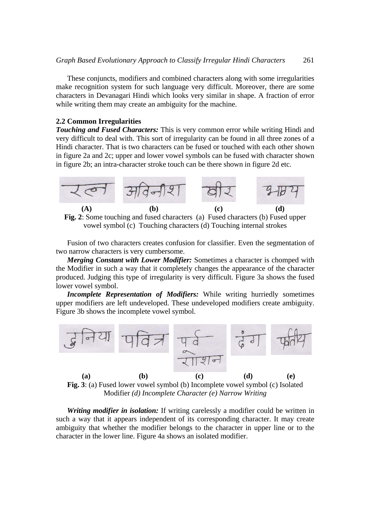These conjuncts, modifiers and combined characters along with some irregularities make recognition system for such language very difficult. Moreover, there are some characters in Devanagari Hindi which looks very similar in shape. A fraction of error while writing them may create an ambiguity for the machine.

#### **2.2 Common Irregularities**

*Touching and Fused Characters:* This is very common error while writing Hindi and very difficult to deal with. This sort of irregularity can be found in all three zones of a Hindi character. That is two characters can be fused or touched with each other shown in figure 2a and 2c; upper and lower vowel symbols can be fused with character shown in figure 2b; an intra-character stroke touch can be there shown in figure 2d etc.



**Fig. 2**: Some touching and fused characters (a) Fused characters (b) Fused upper vowel symbol (c) Touching characters (d) Touching internal strokes

Fusion of two characters creates confusion for classifier. Even the segmentation of two narrow characters is very cumbersome.

*Merging Constant with Lower Modifier:* Sometimes a character is chomped with the Modifier in such a way that it completely changes the appearance of the character produced. Judging this type of irregularity is very difficult. Figure 3a shows the fused lower vowel symbol.

*Incomplete Representation of Modifiers:* While writing hurriedly sometimes upper modifiers are left undeveloped. These undeveloped modifiers create ambiguity. Figure 3b shows the incomplete vowel symbol.



Modifier *(d) Incomplete Character (e) Narrow Writing*

*Writing modifier in isolation:* If writing carelessly a modifier could be written in such a way that it appears independent of its corresponding character. It may create ambiguity that whether the modifier belongs to the character in upper line or to the character in the lower line. Figure 4a shows an isolated modifier.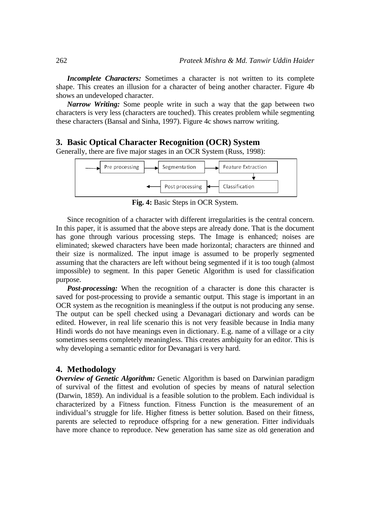*Incomplete Characters:* Sometimes a character is not written to its complete shape. This creates an illusion for a character of being another character. Figure 4b shows an undeveloped character.

*Narrow Writing:* Some people write in such a way that the gap between two characters is very less (characters are touched). This creates problem while segmenting these characters (Bansal and Sinha, 1997). Figure 4c shows narrow writing.

## **3. Basic Optical Character Recognition (OCR) System**

Generally, there are five major stages in an OCR System (Russ, 1998):



**Fig. 4:** Basic Steps in OCR System.

Since recognition of a character with different irregularities is the central concern. In this paper, it is assumed that the above steps are already done. That is the document has gone through various processing steps. The Image is enhanced; noises are eliminated; skewed characters have been made horizontal; characters are thinned and their size is normalized. The input image is assumed to be properly segmented assuming that the characters are left without being segmented if it is too tough (almost impossible) to segment. In this paper Genetic Algorithm is used for classification purpose.

*Post-processing:* When the recognition of a character is done this character is saved for post-processing to provide a semantic output. This stage is important in an OCR system as the recognition is meaningless if the output is not producing any sense. The output can be spell checked using a Devanagari dictionary and words can be edited. However, in real life scenario this is not very feasible because in India many Hindi words do not have meanings even in dictionary. E.g. name of a village or a city sometimes seems completely meaningless. This creates ambiguity for an editor. This is why developing a semantic editor for Devanagari is very hard.

# **4. Methodology**

*Overview of Genetic Algorithm:* Genetic Algorithm is based on Darwinian paradigm of survival of the fittest and evolution of species by means of natural selection (Darwin, 1859). An individual is a feasible solution to the problem. Each individual is characterized by a Fitness function. Fitness Function is the measurement of an individual's struggle for life. Higher fitness is better solution. Based on their fitness, parents are selected to reproduce offspring for a new generation. Fitter individuals have more chance to reproduce. New generation has same size as old generation and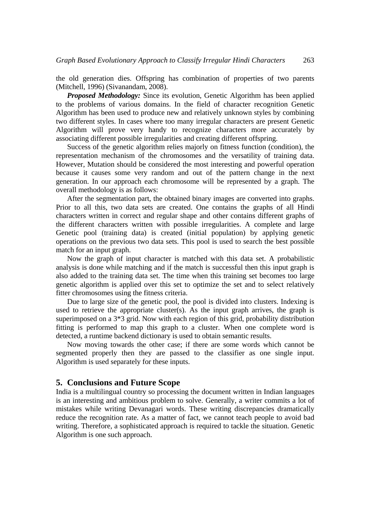the old generation dies. Offspring has combination of properties of two parents (Mitchell, 1996) (Sivanandam, 2008).

*Proposed Methodology:* Since its evolution, Genetic Algorithm has been applied to the problems of various domains. In the field of character recognition Genetic Algorithm has been used to produce new and relatively unknown styles by combining two different styles. In cases where too many irregular characters are present Genetic Algorithm will prove very handy to recognize characters more accurately by associating different possible irregularities and creating different offspring.

Success of the genetic algorithm relies majorly on fitness function (condition), the representation mechanism of the chromosomes and the versatility of training data. However, Mutation should be considered the most interesting and powerful operation because it causes some very random and out of the pattern change in the next generation. In our approach each chromosome will be represented by a graph. The overall methodology is as follows:

After the segmentation part, the obtained binary images are converted into graphs. Prior to all this, two data sets are created. One contains the graphs of all Hindi characters written in correct and regular shape and other contains different graphs of the different characters written with possible irregularities. A complete and large Genetic pool (training data) is created (initial population) by applying genetic operations on the previous two data sets. This pool is used to search the best possible match for an input graph.

Now the graph of input character is matched with this data set. A probabilistic analysis is done while matching and if the match is successful then this input graph is also added to the training data set. The time when this training set becomes too large genetic algorithm is applied over this set to optimize the set and to select relatively fitter chromosomes using the fitness criteria.

Due to large size of the genetic pool, the pool is divided into clusters. Indexing is used to retrieve the appropriate cluster(s). As the input graph arrives, the graph is superimposed on a 3\*3 grid. Now with each region of this grid, probability distribution fitting is performed to map this graph to a cluster. When one complete word is detected, a runtime backend dictionary is used to obtain semantic results.

Now moving towards the other case; if there are some words which cannot be segmented properly then they are passed to the classifier as one single input. Algorithm is used separately for these inputs.

#### **5. Conclusions and Future Scope**

India is a multilingual country so processing the document written in Indian languages is an interesting and ambitious problem to solve. Generally, a writer commits a lot of mistakes while writing Devanagari words. These writing discrepancies dramatically reduce the recognition rate. As a matter of fact, we cannot teach people to avoid bad writing. Therefore, a sophisticated approach is required to tackle the situation. Genetic Algorithm is one such approach.